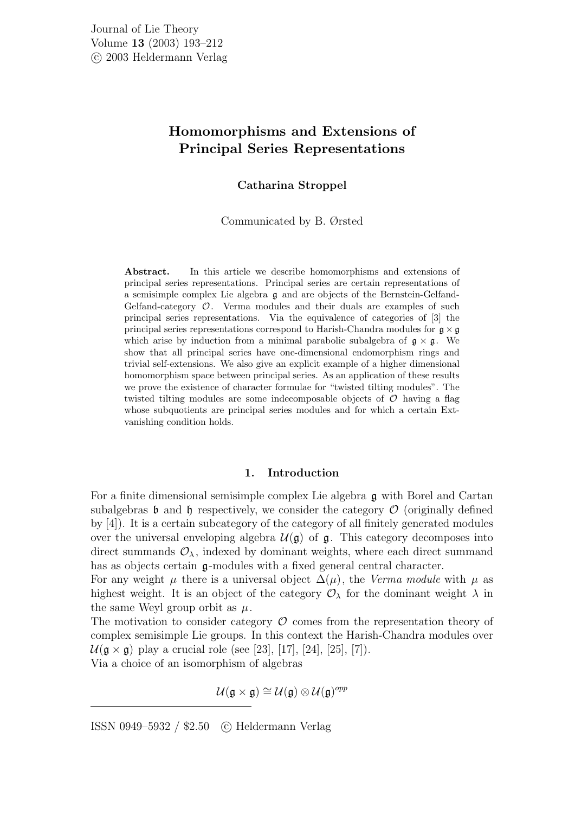# Homomorphisms and Extensions of Principal Series Representations

# Catharina Stroppel

## Communicated by B. Ørsted

Abstract. In this article we describe homomorphisms and extensions of principal series representations. Principal series are certain representations of a semisimple complex Lie algebra g and are objects of the Bernstein-Gelfand-Gelfand-category  $\mathcal{O}$ . Verma modules and their duals are examples of such principal series representations. Via the equivalence of categories of [3] the principal series representations correspond to Harish-Chandra modules for  $\mathfrak{g} \times \mathfrak{g}$ which arise by induction from a minimal parabolic subalgebra of  $g \times g$ . We show that all principal series have one-dimensional endomorphism rings and trivial self-extensions. We also give an explicit example of a higher dimensional homomorphism space between principal series. As an application of these results we prove the existence of character formulae for "twisted tilting modules". The twisted tilting modules are some indecomposable objects of  $\mathcal O$  having a flag whose subquotients are principal series modules and for which a certain Extvanishing condition holds.

## 1. Introduction

For a finite dimensional semisimple complex Lie algebra g with Borel and Cartan subalgebras **b** and **h** respectively, we consider the category  $\mathcal{O}$  (originally defined by [4]). It is a certain subcategory of the category of all finitely generated modules over the universal enveloping algebra  $\mathcal{U}(\mathfrak{g})$  of  $\mathfrak{g}$ . This category decomposes into direct summands  $\mathcal{O}_{\lambda}$ , indexed by dominant weights, where each direct summand has as objects certain g-modules with a fixed general central character.

For any weight  $\mu$  there is a universal object  $\Delta(\mu)$ , the Verma module with  $\mu$  as highest weight. It is an object of the category  $\mathcal{O}_{\lambda}$  for the dominant weight  $\lambda$  in the same Weyl group orbit as  $\mu$ .

The motivation to consider category  $\mathcal O$  comes from the representation theory of complex semisimple Lie groups. In this context the Harish-Chandra modules over  $U(\mathfrak{g} \times \mathfrak{g})$  play a crucial role (see [23], [17], [24], [25], [7]). Via a choice of an isomorphism of algebras

$$
\mathcal{U}(\mathfrak{g}\times\mathfrak{g})\cong\mathcal{U}(\mathfrak{g})\otimes\mathcal{U}(\mathfrak{g})^{opp}
$$

ISSN 0949–5932 / \$2.50 c Heldermann Verlag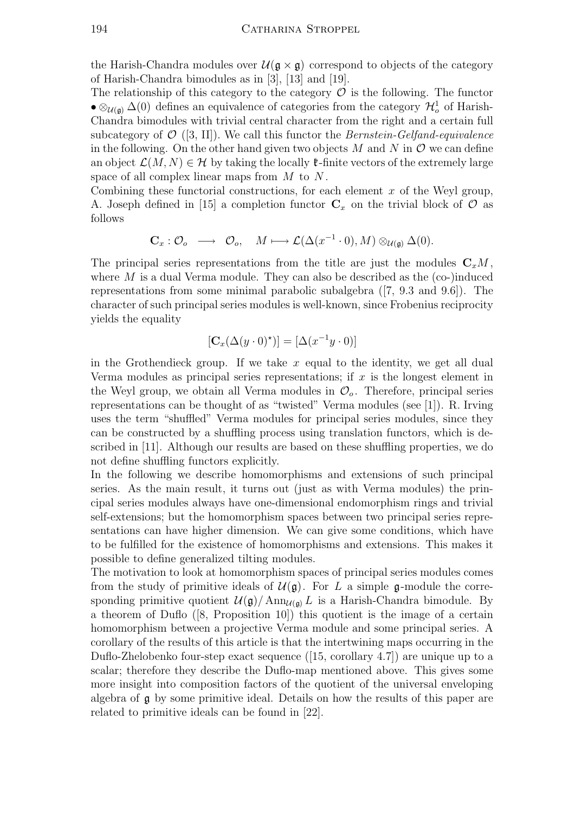the Harish-Chandra modules over  $\mathcal{U}(\mathfrak{g} \times \mathfrak{g})$  correspond to objects of the category of Harish-Chandra bimodules as in [3], [13] and [19].

The relationship of this category to the category  $\mathcal O$  is the following. The functor •  $\otimes_{\mathcal{U}(\mathfrak{g})} \Delta(0)$  defines an equivalence of categories from the category  $\mathcal{H}^1_o$  of Harish-Chandra bimodules with trivial central character from the right and a certain full subcategory of  $\mathcal{O}$  ([3, II]). We call this functor the *Bernstein-Gelfand-equivalence* in the following. On the other hand given two objects  $M$  and  $N$  in  $\mathcal O$  we can define an object  $\mathcal{L}(M, N) \in \mathcal{H}$  by taking the locally  $\mathfrak{k}$ -finite vectors of the extremely large space of all complex linear maps from  $M$  to  $N$ .

Combining these functorial constructions, for each element  $x$  of the Weyl group, A. Joseph defined in [15] a completion functor  $\mathbf{C}_x$  on the trivial block of  $\mathcal O$  as follows

$$
\mathbf{C}_x: \mathcal{O}_o \quad \longrightarrow \quad \mathcal{O}_o, \quad M \longmapsto \mathcal{L}(\Delta(x^{-1} \cdot 0), M) \otimes_{\mathcal{U}(\mathfrak{g})} \Delta(0).
$$

The principal series representations from the title are just the modules  $C_xM$ , where  $M$  is a dual Verma module. They can also be described as the (co-)induced representations from some minimal parabolic subalgebra ([7, 9.3 and 9.6]). The character of such principal series modules is well-known, since Frobenius reciprocity yields the equality

$$
[\mathbf{C}_x(\Delta(y \cdot 0)^{\star})] = [\Delta(x^{-1}y \cdot 0)]
$$

in the Grothendieck group. If we take  $x$  equal to the identity, we get all dual Verma modules as principal series representations; if  $x$  is the longest element in the Weyl group, we obtain all Verma modules in  $\mathcal{O}_o$ . Therefore, principal series representations can be thought of as "twisted" Verma modules (see [1]). R. Irving uses the term "shuffled" Verma modules for principal series modules, since they can be constructed by a shuffling process using translation functors, which is described in [11]. Although our results are based on these shuffling properties, we do not define shuffling functors explicitly.

In the following we describe homomorphisms and extensions of such principal series. As the main result, it turns out (just as with Verma modules) the principal series modules always have one-dimensional endomorphism rings and trivial self-extensions; but the homomorphism spaces between two principal series representations can have higher dimension. We can give some conditions, which have to be fulfilled for the existence of homomorphisms and extensions. This makes it possible to define generalized tilting modules.

The motivation to look at homomorphism spaces of principal series modules comes from the study of primitive ideals of  $\mathcal{U}(\mathfrak{g})$ . For L a simple g-module the corresponding primitive quotient  $\mathcal{U}(\mathfrak{g})/\text{Ann}_{\mathcal{U}(\mathfrak{g})} L$  is a Harish-Chandra bimodule. By a theorem of Duflo ([8, Proposition 10]) this quotient is the image of a certain homomorphism between a projective Verma module and some principal series. A corollary of the results of this article is that the intertwining maps occurring in the Duflo-Zhelobenko four-step exact sequence ([15, corollary 4.7]) are unique up to a scalar; therefore they describe the Duflo-map mentioned above. This gives some more insight into composition factors of the quotient of the universal enveloping algebra of  $\boldsymbol{\mathfrak{g}}$  by some primitive ideal. Details on how the results of this paper are related to primitive ideals can be found in [22].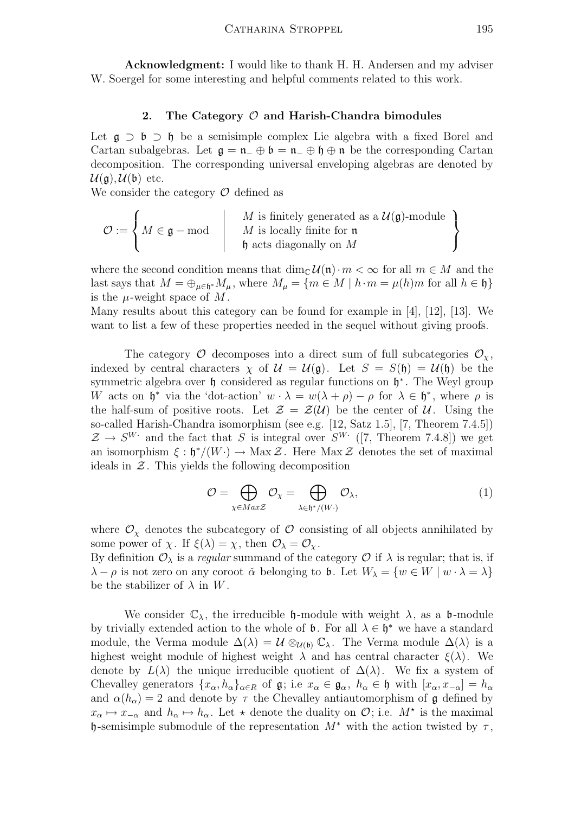Acknowledgment: I would like to thank H. H. Andersen and my adviser W. Soergel for some interesting and helpful comments related to this work.

## 2. The Category  $\mathcal O$  and Harish-Chandra bimodules

Let  $\mathfrak{g} \supset \mathfrak{b} \supset \mathfrak{h}$  be a semisimple complex Lie algebra with a fixed Borel and Cartan subalgebras. Let  $\mathfrak{g} = \mathfrak{n}$   $\oplus$   $\mathfrak{b} = \mathfrak{n}$   $\oplus$   $\mathfrak{h} \oplus \mathfrak{n}$  be the corresponding Cartan decomposition. The corresponding universal enveloping algebras are denoted by  $\mathcal{U}(\mathfrak{a})$ ,  $\mathcal{U}(\mathfrak{b})$  etc.

We consider the category  $\mathcal O$  defined as

$$
\mathcal{O} := \left\{ M \in \mathfrak{g} - \text{mod} \mid \begin{array}{c} M \text{ is finitely generated as a } \mathcal{U}(\mathfrak{g})\text{-module} \\ M \text{ is locally finite for } \mathfrak{n} \\ \mathfrak{h} \text{ acts diagonally on } M \end{array} \right\}
$$

where the second condition means that  $\dim_{\mathbb{C}} \mathcal{U}(\mathfrak{n})\cdot m < \infty$  for all  $m \in M$  and the last says that  $M = \bigoplus_{\mu \in \mathfrak{h}^*} M_\mu$ , where  $M_\mu = \{m \in M \mid h \cdot m = \mu(h)m$  for all  $h \in \mathfrak{h}\}$ is the  $\mu$ -weight space of M.

Many results about this category can be found for example in [4], [12], [13]. We want to list a few of these properties needed in the sequel without giving proofs.

The category  $\mathcal O$  decomposes into a direct sum of full subcategories  $\mathcal O_\chi$ , indexed by central characters  $\chi$  of  $\mathcal{U} = \mathcal{U}(\mathfrak{g})$ . Let  $S = S(\mathfrak{h}) = \mathcal{U}(\mathfrak{h})$  be the symmetric algebra over  $\mathfrak h$  considered as regular functions on  $\mathfrak h^*$ . The Weyl group W acts on  $\mathfrak{h}^*$  via the 'dot-action'  $w \cdot \lambda = w(\lambda + \rho) - \rho$  for  $\lambda \in \mathfrak{h}^*$ , where  $\rho$  is the half-sum of positive roots. Let  $\mathcal{Z} = \mathcal{Z}(\mathcal{U})$  be the center of  $\mathcal{U}$ . Using the so-called Harish-Chandra isomorphism (see e.g. [12, Satz 1.5], [7, Theorem 7.4.5])  $\mathcal{Z} \to S^{W}$  and the fact that S is integral over  $S^{W}$  ([7, Theorem 7.4.8]) we get an isomorphism  $\xi : \mathfrak{h}^*/(W) \to \text{Max } \mathcal{Z}$ . Here  $\text{Max } \mathcal{Z}$  denotes the set of maximal ideals in  $Z$ . This yields the following decomposition

$$
\mathcal{O} = \bigoplus_{\chi \in \mathit{MaxZ}} \mathcal{O}_{\chi} = \bigoplus_{\lambda \in \mathfrak{h}^*/(W \cdot)} \mathcal{O}_{\lambda},\tag{1}
$$

where  $\mathcal{O}_\chi$  denotes the subcategory of  $\mathcal O$  consisting of all objects annihilated by some power of  $\chi$ . If  $\xi(\lambda) = \chi$ , then  $\mathcal{O}_{\lambda} = \mathcal{O}_{\chi}$ .

By definition  $\mathcal{O}_{\lambda}$  is a *regular* summand of the category  $\mathcal O$  if  $\lambda$  is regular; that is, if  $\lambda - \rho$  is not zero on any coroot  $\check{\alpha}$  belonging to **b**. Let  $W_{\lambda} = \{w \in W \mid w \cdot \lambda = \lambda\}$ be the stabilizer of  $\lambda$  in W.

We consider  $\mathbb{C}_{\lambda}$ , the irreducible  $\mathfrak{h}$ -module with weight  $\lambda$ , as a  $\mathfrak{b}$ -module by trivially extended action to the whole of  $\mathfrak{b}$ . For all  $\lambda \in \mathfrak{h}^*$  we have a standard module, the Verma module  $\Delta(\lambda) = \mathcal{U} \otimes_{\mathcal{U}(\mathfrak{b})} \mathbb{C}_{\lambda}$ . The Verma module  $\Delta(\lambda)$  is a highest weight module of highest weight  $\lambda$  and has central character  $\xi(\lambda)$ . We denote by  $L(\lambda)$  the unique irreducible quotient of  $\Delta(\lambda)$ . We fix a system of Chevalley generators  $\{x_\alpha, h_\alpha\}_{\alpha \in R}$  of  $\mathfrak{g}$ ; i.e  $x_\alpha \in \mathfrak{g}_\alpha$ ,  $h_\alpha \in \mathfrak{h}$  with  $[x_\alpha, x_{-\alpha}] = h_\alpha$ and  $\alpha(h_{\alpha}) = 2$  and denote by  $\tau$  the Chevalley antiautomorphism of g defined by  $x_{\alpha} \mapsto x_{-\alpha}$  and  $h_{\alpha} \mapsto h_{\alpha}$ . Let  $\star$  denote the duality on  $\mathcal{O}$ ; i.e.  $M^{\star}$  is the maximal h-semisimple submodule of the representation  $M^*$  with the action twisted by  $\tau$ ,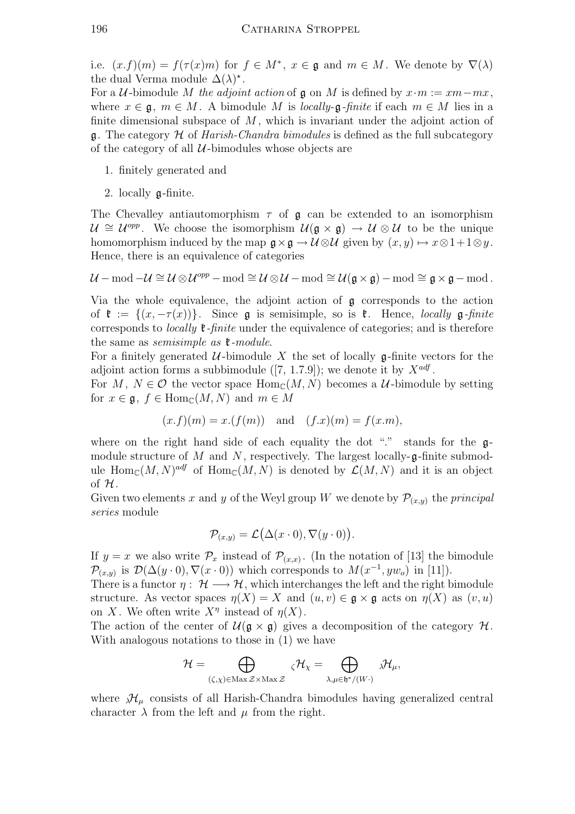i.e.  $(x.f)(m) = f(\tau(x)m)$  for  $f \in M^*$ ,  $x \in \mathfrak{g}$  and  $m \in M$ . We denote by  $\nabla(\lambda)$ the dual Verma module  $\Delta(\lambda)^*$ .

For a U-bimodule M the adjoint action of  $\mathfrak g$  on M is defined by  $x \cdot m := xm - mx$ , where  $x \in \mathfrak{g}, m \in M$ . A bimodule M is locally- $\mathfrak{g}$ -finite if each  $m \in M$  lies in a finite dimensional subspace of  $M$ , which is invariant under the adjoint action of q. The category  $\mathcal H$  of Harish-Chandra bimodules is defined as the full subcategory of the category of all  $\mathcal U$ -bimodules whose objects are

- 1. finitely generated and
- 2. locally g-finite.

The Chevalley antiautomorphism  $\tau$  of  $\mathfrak g$  can be extended to an isomorphism  $U \cong U^{opp}$ . We choose the isomorphism  $U(\mathfrak{g} \times \mathfrak{g}) \to U \otimes U$  to be the unique homomorphism induced by the map  $\mathfrak{g} \times \mathfrak{g} \to \mathcal{U} \otimes \mathcal{U}$  given by  $(x, y) \mapsto x \otimes 1 + 1 \otimes y$ . Hence, there is an equivalence of categories

$$
\mathcal{U}-\text{mod}-\mathcal{U}\cong\mathcal{U}\otimes\mathcal{U}^{opp}-\text{mod}\cong\mathcal{U}\otimes\mathcal{U}-\text{mod}\cong\mathcal{U}(\mathfrak{g}\times\mathfrak{g})-\text{mod}\cong\mathfrak{g}\times\mathfrak{g}-\text{mod}\,.
$$

Via the whole equivalence, the adjoint action of g corresponds to the action of  $\mathfrak{k} := \{(x, -\tau(x))\}$ . Since **g** is semisimple, so is  $\mathfrak{k}$ . Hence, *locally* **g**-finite corresponds to *locally*  $\mathfrak{k}$ -finite under the equivalence of categories; and is therefore the same as *semisimple as*  $\ell$ -module.

For a finitely generated  $U$ -bimodule X the set of locally  $\mathfrak g$ -finite vectors for the adjoint action forms a subbimodule ([7, 1.7.9]); we denote it by  $X^{adj}$ .

For M,  $N \in \mathcal{O}$  the vector space  $\text{Hom}_{\mathbb{C}}(M, N)$  becomes a U-bimodule by setting for  $x \in \mathfrak{g}$ ,  $f \in \text{Hom}_{\mathbb{C}}(M, N)$  and  $m \in M$ 

$$
(x.f)(m) = x.(f(m))
$$
 and  $(f.x)(m) = f(x.m),$ 

where on the right hand side of each equality the dot "." stands for the  $\mathfrak{q}$ module structure of  $M$  and  $N$ , respectively. The largest locally- $\mathfrak{g}$ -finite submodule  $\text{Hom}_{\mathbb{C}}(M,N)^{adj}$  of  $\text{Hom}_{\mathbb{C}}(M,N)$  is denoted by  $\mathcal{L}(M,N)$  and it is an object of H.

Given two elements x and y of the Weyl group W we denote by  $\mathcal{P}_{(x,y)}$  the principal series module

$$
\mathcal{P}_{(x,y)} = \mathcal{L}(\Delta(x \cdot 0), \nabla(y \cdot 0)).
$$

If  $y = x$  we also write  $\mathcal{P}_x$  instead of  $\mathcal{P}_{(x,x)}$ . (In the notation of [13] the bimodule  $\mathcal{P}_{(x,y)}$  is  $\mathcal{D}(\Delta(y\cdot 0), \nabla(x\cdot 0))$  which corresponds to  $M(x^{-1}, yw_o)$  in [11]).

There is a functor  $\eta: \mathcal{H} \longrightarrow \mathcal{H}$ , which interchanges the left and the right bimodule structure. As vector spaces  $\eta(X) = X$  and  $(u, v) \in \mathfrak{g} \times \mathfrak{g}$  acts on  $\eta(X)$  as  $(v, u)$ on X. We often write  $X^{\eta}$  instead of  $\eta(X)$ .

The action of the center of  $\mathcal{U}(\mathfrak{g} \times \mathfrak{g})$  gives a decomposition of the category  $\mathcal{H}$ . With analogous notations to those in (1) we have

$$
\mathcal{H}=\bigoplus_{(\zeta,\chi)\in\operatorname{Max}\mathcal{Z}\times\operatorname{Max}\mathcal{Z}}\ {}_\zeta\mathcal{H}_\chi=\bigoplus_{\lambda,\mu\in\mathfrak{h}^*/(W\cdot)}\ \lambda\mathcal{H}_\mu,
$$

where  $\mathcal{H}_{\mu}$  consists of all Harish-Chandra bimodules having generalized central character  $\lambda$  from the left and  $\mu$  from the right.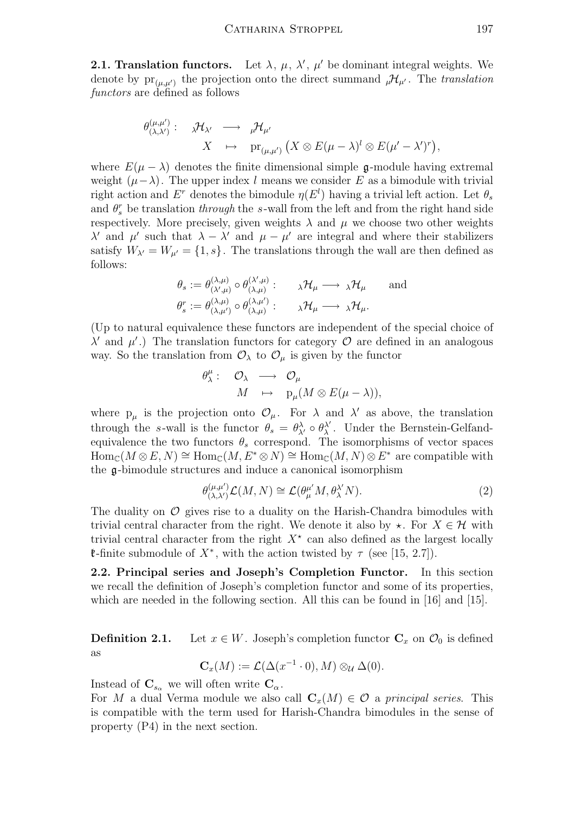**2.1. Translation functors.** Let  $\lambda$ ,  $\mu$ ,  $\lambda'$ ,  $\mu'$  be dominant integral weights. We denote by  $pr_{(\mu,\mu')}$  the projection onto the direct summand  ${}_{\mu}\mathcal{H}_{\mu'}$ . The translation functors are defined as follows

$$
\theta^{(\mu,\mu')}_{(\lambda,\lambda')}:\quad \mathfrak{A}\mathcal{H}_{\lambda'}\;\;\longrightarrow\;\;\mathfrak{p}\mathcal{H}_{\mu'}\qquad \qquad \newline X\;\;\;\mapsto\;\;\mathop{\rm pr}\nolimits_{(\mu,\mu')}\big(X\otimes E(\mu-\lambda)^l\otimes E(\mu'-\lambda')^r\big),
$$

where  $E(\mu - \lambda)$  denotes the finite dimensional simple g-module having extremal weight  $(\mu - \lambda)$ . The upper index l means we consider E as a bimodule with trivial right action and  $E^r$  denotes the bimodule  $\eta(E^l)$  having a trivial left action. Let  $\theta_s$ and  $\theta_s^r$  be translation *through* the s-wall from the left and from the right hand side respectively. More precisely, given weights  $\lambda$  and  $\mu$  we choose two other weights λ' and μ' such that  $λ - λ'$  and  $μ - μ'$  are integral and where their stabilizers satisfy  $W_{\lambda'} = W_{\mu'} = \{1, s\}$ . The translations through the wall are then defined as follows:

$$
\theta_s := \theta_{(\lambda,\mu)}^{(\lambda,\mu)} \circ \theta_{(\lambda,\mu)}^{(\lambda',\mu)} : \qquad \lambda \mathcal{H}_{\mu} \longrightarrow \lambda \mathcal{H}_{\mu} \qquad \text{and}
$$

$$
\theta_s^r := \theta_{(\lambda,\mu')}^{(\lambda,\mu)} \circ \theta_{(\lambda,\mu)}^{(\lambda,\mu')} : \qquad \lambda \mathcal{H}_{\mu} \longrightarrow \lambda \mathcal{H}_{\mu}.
$$

(Up to natural equivalence these functors are independent of the special choice of  $\lambda'$  and  $\mu'$ .) The translation functors for category  $\hat{O}$  are defined in an analogous way. So the translation from  $\mathcal{O}_{\lambda}$  to  $\mathcal{O}_{\mu}$  is given by the functor

$$
\begin{array}{cccc}\n\theta^{\mu}_{\lambda}: & \mathcal{O}_{\lambda} & \longrightarrow & \mathcal{O}_{\mu} \\
M & \mapsto & p_{\mu}(M \otimes E(\mu - \lambda)),\n\end{array}
$$

where  $p_{\mu}$  is the projection onto  $\mathcal{O}_{\mu}$ . For  $\lambda$  and  $\lambda'$  as above, the translation through the s-wall is the functor  $\theta_s = \theta_{\lambda'}^{\lambda} \circ \theta_{\lambda}^{\lambda'}$  $\lambda'$ . Under the Bernstein-Gelfandequivalence the two functors  $\theta_s$  correspond. The isomorphisms of vector spaces  $\text{Hom}_{\mathbb{C}}(M \otimes E, N) \cong \text{Hom}_{\mathbb{C}}(M, E^* \otimes N) \cong \text{Hom}_{\mathbb{C}}(M, N) \otimes E^*$  are compatible with the g-bimodule structures and induce a canonical isomorphism

$$
\theta_{(\lambda,\lambda')}^{(\mu,\mu')} \mathcal{L}(M,N) \cong \mathcal{L}(\theta_{\mu}^{\mu'} M, \theta_{\lambda}^{\lambda'} N). \tag{2}
$$

The duality on  $\mathcal O$  gives rise to a duality on the Harish-Chandra bimodules with trivial central character from the right. We denote it also by  $\star$ . For  $X \in \mathcal{H}$  with trivial central character from the right  $X^*$  can also defined as the largest locally **t**-finite submodule of  $X^*$ , with the action twisted by  $\tau$  (see [15, 2.7]).

2.2. Principal series and Joseph's Completion Functor. In this section we recall the definition of Joseph's completion functor and some of its properties, which are needed in the following section. All this can be found in [16] and [15].

**Definition 2.1.** Let  $x \in W$ . Joseph's completion functor  $C_x$  on  $\mathcal{O}_0$  is defined as

$$
\mathbf{C}_x(M) := \mathcal{L}(\Delta(x^{-1} \cdot 0), M) \otimes_{\mathcal{U}} \Delta(0).
$$

Instead of  $C_{s_{\alpha}}$  we will often write  $C_{\alpha}$ .

For M a dual Verma module we also call  $\mathbf{C}_x(M) \in \mathcal{O}$  a principal series. This is compatible with the term used for Harish-Chandra bimodules in the sense of property (P4) in the next section.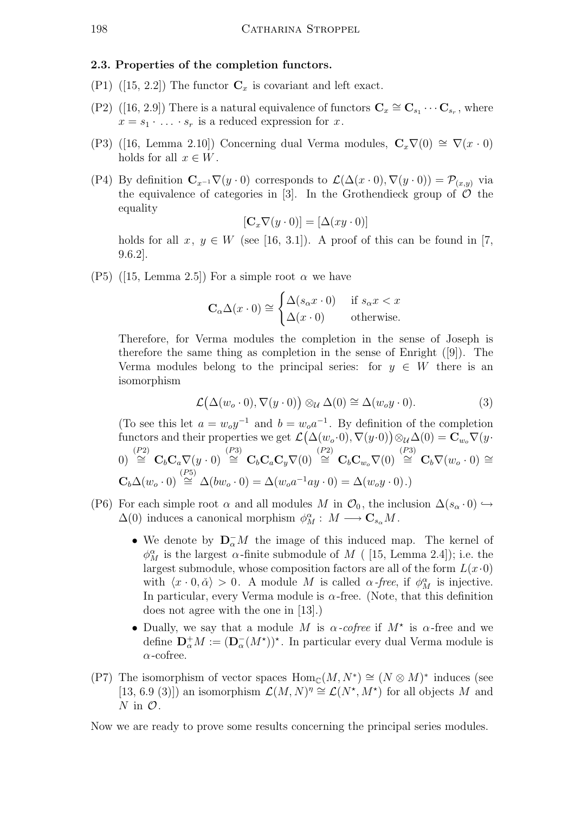## 2.3. Properties of the completion functors.

- (P1) ([15, 2.2]) The functor  $\mathbf{C}_x$  is covariant and left exact.
- (P2) ([16, 2.9]) There is a natural equivalence of functors  $\mathbf{C}_x \cong \mathbf{C}_{s_1} \cdots \mathbf{C}_{s_r}$ , where  $x = s_1 \cdot \ldots \cdot s_r$  is a reduced expression for x.
- (P3) ([16, Lemma 2.10]) Concerning dual Verma modules,  $C_x \nabla(0) \cong \nabla(x \cdot 0)$ holds for all  $x \in W$ .
- (P4) By definition  $\mathbf{C}_{x^{-1}}\nabla(y\cdot 0)$  corresponds to  $\mathcal{L}(\Delta(x\cdot 0), \nabla(y\cdot 0)) = \mathcal{P}_{(x,y)}$  via the equivalence of categories in [3]. In the Grothendieck group of  $\mathcal O$  the equality

$$
[\mathbf{C}_x \nabla (y \cdot 0)] = [\Delta(xy \cdot 0)]
$$

holds for all  $x, y \in W$  (see [16, 3.1]). A proof of this can be found in [7, 9.6.2].

(P5) ([15, Lemma 2.5]) For a simple root  $\alpha$  we have

$$
\mathbf{C}_{\alpha} \Delta(x \cdot 0) \cong \begin{cases} \Delta(s_{\alpha} x \cdot 0) & \text{if } s_{\alpha} x < x \\ \Delta(x \cdot 0) & \text{otherwise.} \end{cases}
$$

Therefore, for Verma modules the completion in the sense of Joseph is therefore the same thing as completion in the sense of Enright ([9]). The Verma modules belong to the principal series: for  $y \in W$  there is an isomorphism

$$
\mathcal{L}(\Delta(w_o \cdot 0), \nabla(y \cdot 0)) \otimes_{\mathcal{U}} \Delta(0) \cong \Delta(w_o y \cdot 0). \tag{3}
$$

(To see this let  $a = w_0 y^{-1}$  and  $b = w_0 a^{-1}$ . By definition of the completion functors and their properties we get  $\mathcal{L}(\Delta(w_o \cdot 0), \nabla(y \cdot 0)) \otimes_{\mathcal{U}} \Delta(0) = \mathbf{C}_{w_o} \nabla(y \cdot 0)$  $\begin{array}{rcl} \text{(P2)} \ \text{(P3)} \ \text{(P4)} \ \text{(P5)} \ \text{(P6)} \ \text{(P7)} \ \text{(P8)} \ \text{(P9)} \ \text{(P9)} \ \text{(P1)} \ \text{(P1)} \ \text{(P2)} \ \text{(P3)} \ \text{(P4)} \ \text{(P5)} \ \text{(P6)} \ \text{(P7)} \ \text{(P8)} \ \text{(P9)} \ \text{(P9)} \ \text{(P1)} \ \text{(P1)} \ \text{(P2)} \ \text{(P3)} \ \text{(P4)} \ \text{(P5)} \ \text{(P6)} \ \text{(P7)} \ \text{(P8)} \ \text{(P9)} \ \text$  $\mathbf{C}_b \Delta(w_o \cdot 0) \stackrel{(P5)}{\cong} \Delta(bw_o \cdot 0) = \Delta(w_o a^{-1} a y \cdot 0) = \Delta(w_o y \cdot 0).$ 

- (P6) For each simple root  $\alpha$  and all modules M in  $\mathcal{O}_0$ , the inclusion  $\Delta(s_\alpha \cdot 0) \hookrightarrow$  $\Delta(0)$  induces a canonical morphism  $\phi_M^{\alpha}: M \longrightarrow \mathbf{C}_{s_\alpha}M$ .
	- We denote by  $\mathbf{D}_{\alpha}^-M$  the image of this induced map. The kernel of  $\phi_M^{\alpha}$  is the largest  $\alpha$ -finite submodule of M ( [15, Lemma 2.4]); i.e. the largest submodule, whose composition factors are all of the form  $L(x\cdot 0)$ with  $\langle x \cdot 0, \check{\alpha} \rangle > 0$ . A module M is called  $\alpha$ -free, if  $\phi_M^{\alpha}$  is injective. In particular, every Verma module is  $\alpha$ -free. (Note, that this definition does not agree with the one in [13].)
	- Dually, we say that a module M is  $\alpha$ -cofree if  $M^*$  is  $\alpha$ -free and we define  $\mathbf{D}_{\alpha}^{+}M := (\mathbf{D}_{\alpha}^{-}(M^{\star}))^{\star}$ . In particular every dual Verma module is  $\alpha$ -cofree.
- (P7) The isomorphism of vector spaces  $\text{Hom}_{\mathbb{C}}(M, N^*) \cong (N \otimes M)^*$  induces (see [13, 6.9 (3)]) an isomorphism  $\mathcal{L}(M, N)^{\eta} \cong \mathcal{L}(N^*, M^*)$  for all objects M and  $N$  in  $\mathcal{O}$ .

Now we are ready to prove some results concerning the principal series modules.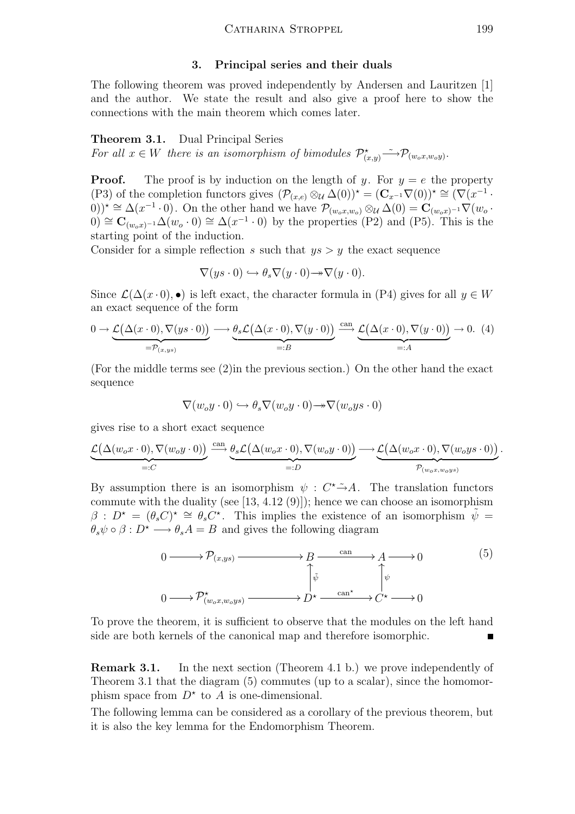## 3. Principal series and their duals

The following theorem was proved independently by Andersen and Lauritzen [1] and the author. We state the result and also give a proof here to show the connections with the main theorem which comes later.

## Theorem 3.1. Dual Principal Series

For all  $x \in W$  there is an isomorphism of bimodules  $\mathcal{P}_{(x,y)}^{\star} \longrightarrow \mathcal{P}_{(w_o x, w_o y)}$ .

**Proof.** The proof is by induction on the length of y. For  $y = e$  the property (P3) of the completion functors gives  $(\mathcal{P}_{(x,e)} \otimes_{\mathcal{U}} \Delta(0))^* = (\mathbf{C}_{x^{-1}} \nabla(0))^* \cong (\nabla (x^{-1} \cdot$  $(0, 0)$ )<sup>\*</sup> ≅  $\Delta(x^{-1} \cdot 0)$ . On the other hand we have  $\mathcal{P}_{(w_o x, w_o)} \otimes_{\mathcal{U}} \Delta(0) = \mathbf{C}_{(w_o x)^{-1}} \nabla(w_o \cdot w_o)$  $0) \cong \mathbf{C}_{(w_o x)^{-1}} \Delta(w_o \cdot 0) \cong \Delta(x^{-1} \cdot 0)$  by the properties (P2) and (P5). This is the starting point of the induction.

Consider for a simple reflection s such that  $ys > y$  the exact sequence

$$
\nabla(y s \cdot 0) \hookrightarrow \theta_s \nabla(y \cdot 0) \to \nabla(y \cdot 0).
$$

Since  $\mathcal{L}(\Delta(x\cdot 0), \bullet)$  is left exact, the character formula in (P4) gives for all  $y \in W$ an exact sequence of the form

$$
0 \to \underbrace{\mathcal{L}(\Delta(x \cdot 0), \nabla(y s \cdot 0))}_{=\mathcal{P}_{(x,y s)}} \longrightarrow \underbrace{\theta_s \mathcal{L}(\Delta(x \cdot 0), \nabla(y \cdot 0))}_{=:B} \xrightarrow{\text{can}} \underbrace{\mathcal{L}(\Delta(x \cdot 0), \nabla(y \cdot 0))}_{=:A} \to 0. \tag{4}
$$

(For the middle terms see (2)in the previous section.) On the other hand the exact sequence

$$
\nabla(w_oy \cdot 0) \hookrightarrow \theta_s \nabla(w_oy \cdot 0) \rightarrow \nabla(w_oy \cdot 0)
$$

gives rise to a short exact sequence

$$
\underbrace{\mathcal{L}(\Delta(w_ox\cdot 0), \nabla(w_oy\cdot 0))}_{=:C} \xrightarrow{\text{can}} \underbrace{\theta_s \mathcal{L}(\Delta(w_ox\cdot 0), \nabla(w_oy\cdot 0))}_{=:D} \longrightarrow \underbrace{\mathcal{L}(\Delta(w_ox\cdot 0), \nabla(w_oys\cdot 0))}_{\mathcal{P}_{(w_ox, w_oys)}}.
$$

By assumption there is an isomorphism  $\psi : C^* \to A$ . The translation functors commute with the duality (see [13, 4.12 (9)]); hence we can choose an isomorphism  $β : D^* = (θ_s C)^* ≅ θ_s C^*$ . This implies the existence of an isomorphism  $\tilde{ψ} =$  $\theta_s \psi \circ \beta : D^* \longrightarrow \theta_s A = B$  and gives the following diagram



To prove the theorem, it is sufficient to observe that the modules on the left hand side are both kernels of the canonical map and therefore isomorphic.

Remark 3.1. In the next section (Theorem 4.1 b.) we prove independently of Theorem 3.1 that the diagram (5) commutes (up to a scalar), since the homomorphism space from  $D^*$  to A is one-dimensional.

The following lemma can be considered as a corollary of the previous theorem, but it is also the key lemma for the Endomorphism Theorem.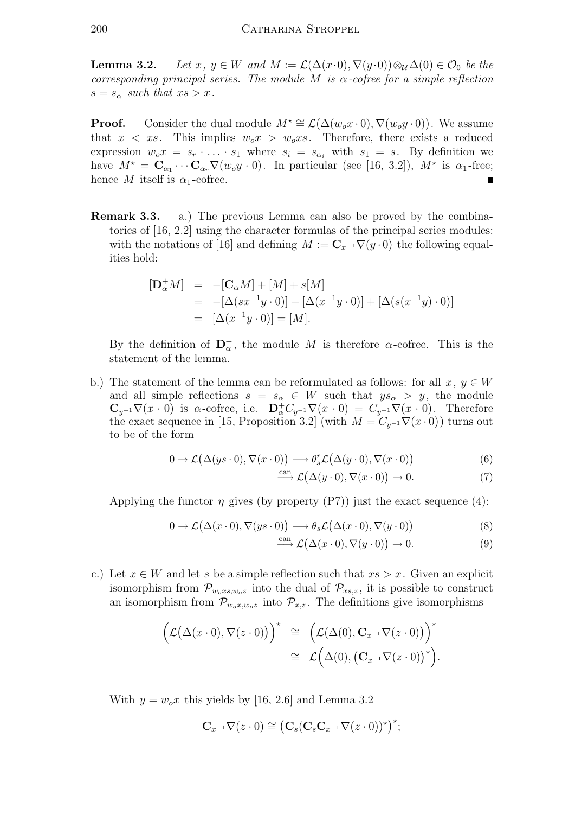**Lemma 3.2.** Let  $x, y \in W$  and  $M := \mathcal{L}(\Delta(x \cdot 0), \nabla(y \cdot 0)) \otimes_{\mathcal{U}} \Delta(0) \in \mathcal{O}_0$  be the corresponding principal series. The module M is  $\alpha$ -cofree for a simple reflection  $s = s_{\alpha}$  such that  $xs > x$ .

**Proof.** Consider the dual module  $M^* \cong \mathcal{L}(\Delta(w_0 x \cdot 0), \nabla(w_0 y \cdot 0))$ . We assume that  $x < xs$ . This implies  $w_0x > w_0xs$ . Therefore, there exists a reduced expression  $w_0x = s_r \cdot \ldots \cdot s_1$  where  $s_i = s_{\alpha_i}$  with  $s_1 = s$ . By definition we have  $M^* = \mathbf{C}_{\alpha_1} \cdots \mathbf{C}_{\alpha_r} \nabla(w_0 y \cdot 0)$ . In particular (see [16, 3.2]),  $M^*$  is  $\alpha_1$ -free; hence M itself is  $\alpha_1$ -cofree.

Remark 3.3. a.) The previous Lemma can also be proved by the combinatorics of [16, 2.2] using the character formulas of the principal series modules: with the notations of [16] and defining  $M := \mathbf{C}_{x^{-1}} \nabla(y \cdot 0)$  the following equalities hold:

$$
\begin{array}{rcl} [\mathbf{D}_{\alpha}^{+} M] & = & -[\mathbf{C}_{\alpha} M] + [M] + s[M] \\ & = & -[\Delta(s x^{-1} y \cdot 0)] + [\Delta(x^{-1} y \cdot 0)] + [\Delta(s(x^{-1} y) \cdot 0)] \\ & = & [\Delta(x^{-1} y \cdot 0)] = [M]. \end{array}
$$

By the definition of  $\mathbf{D}_{\alpha}^{+}$ , the module M is therefore  $\alpha$ -cofree. This is the statement of the lemma.

b.) The statement of the lemma can be reformulated as follows: for all  $x, y \in W$ and all simple reflections  $s = s_{\alpha} \in W$  such that  $ys_{\alpha} > y$ , the module  $\mathbf{C}_{y^{-1}}\nabla(x\cdot 0)$  is  $\alpha$ -cofree, i.e.  $\mathbf{D}_{\alpha}^{\dagger}C_{y^{-1}}\nabla(x\cdot 0) = C_{y^{-1}}\nabla(x\cdot 0)$ . Therefore the exact sequence in [15, Proposition 3.2] (with  $M = C_{y^{-1}} \nabla (x \cdot 0)$ ) turns out to be of the form

$$
0 \to \mathcal{L}(\Delta(ys \cdot 0), \nabla(x \cdot 0)) \longrightarrow \theta_s^r \mathcal{L}(\Delta(y \cdot 0), \nabla(x \cdot 0))
$$
\n(6)

$$
\xrightarrow{\text{can}} \mathcal{L}(\Delta(y \cdot 0), \nabla(x \cdot 0)) \to 0. \tag{7}
$$

Applying the functor  $\eta$  gives (by property (P7)) just the exact sequence (4):

$$
0 \to \mathcal{L}(\Delta(x \cdot 0), \nabla(y s \cdot 0)) \longrightarrow \theta_s \mathcal{L}(\Delta(x \cdot 0), \nabla(y \cdot 0))
$$
\n(8)

$$
\xrightarrow{\text{can}} \mathcal{L}(\Delta(x \cdot 0), \nabla(y \cdot 0)) \to 0. \tag{9}
$$

c.) Let  $x \in W$  and let s be a simple reflection such that  $xs > x$ . Given an explicit isomorphism from  $\mathcal{P}_{w_0xs,w_0z}$  into the dual of  $\mathcal{P}_{xs,z}$ , it is possible to construct an isomorphism from  $\mathcal{P}_{w_0x,w_0z}$  into  $\mathcal{P}_{x,z}$ . The definitions give isomorphisms

$$
\left(\mathcal{L}(\Delta(x\cdot 0), \nabla(z\cdot 0))\right)^{\star} \cong \left(\mathcal{L}(\Delta(0), \mathbf{C}_{x^{-1}}\nabla(z\cdot 0))\right)^{\star} \cong \mathcal{L}(\Delta(0), (\mathbf{C}_{x^{-1}}\nabla(z\cdot 0))^{\star}).
$$

With  $y = w_0 x$  this yields by [16, 2.6] and Lemma 3.2

$$
\mathbf{C}_{x^{-1}}\nabla(z\cdot 0)\cong \big(\mathbf{C}_s(\mathbf{C}_s\mathbf{C}_{x^{-1}}\nabla(z\cdot 0))^{\star}\big)^{\star};
$$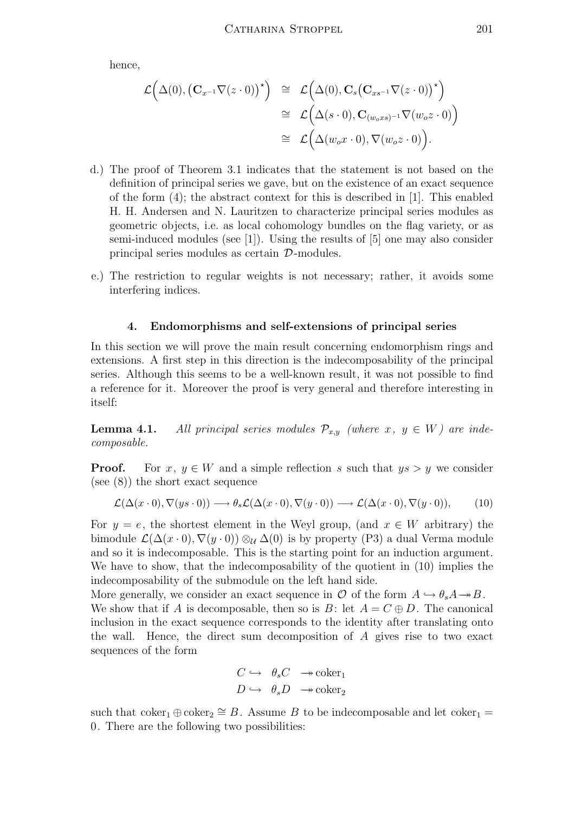hence,

$$
\mathcal{L}(\Delta(0), (\mathbf{C}_{x^{-1}}\nabla(z \cdot 0))^{\star}) \cong \mathcal{L}(\Delta(0), \mathbf{C}_{s}(\mathbf{C}_{xs^{-1}}\nabla(z \cdot 0))^{\star})
$$
  
\n
$$
\cong \mathcal{L}(\Delta(s \cdot 0), \mathbf{C}_{(w_o xs)^{-1}}\nabla(w_o z \cdot 0))
$$
  
\n
$$
\cong \mathcal{L}(\Delta(w_o x \cdot 0), \nabla(w_o z \cdot 0)).
$$

- d.) The proof of Theorem 3.1 indicates that the statement is not based on the definition of principal series we gave, but on the existence of an exact sequence of the form (4); the abstract context for this is described in [1]. This enabled H. H. Andersen and N. Lauritzen to characterize principal series modules as geometric objects, i.e. as local cohomology bundles on the flag variety, or as semi-induced modules (see [1]). Using the results of [5] one may also consider principal series modules as certain D-modules.
- e.) The restriction to regular weights is not necessary; rather, it avoids some interfering indices.

## 4. Endomorphisms and self-extensions of principal series

In this section we will prove the main result concerning endomorphism rings and extensions. A first step in this direction is the indecomposability of the principal series. Although this seems to be a well-known result, it was not possible to find a reference for it. Moreover the proof is very general and therefore interesting in itself:

**Lemma 4.1.** All principal series modules  $\mathcal{P}_{x,y}$  (where  $x, y \in W$ ) are indecomposable.

**Proof.** For  $x, y \in W$  and a simple reflection s such that  $ys > y$  we consider (see (8)) the short exact sequence

$$
\mathcal{L}(\Delta(x \cdot 0), \nabla(y s \cdot 0)) \longrightarrow \theta_s \mathcal{L}(\Delta(x \cdot 0), \nabla(y \cdot 0)) \longrightarrow \mathcal{L}(\Delta(x \cdot 0), \nabla(y \cdot 0)),
$$
 (10)

For  $y = e$ , the shortest element in the Weyl group, (and  $x \in W$  arbitrary) the bimodule  $\mathcal{L}(\Delta(x\cdot 0), \nabla(y\cdot 0)) \otimes_{\mathcal{U}} \Delta(0)$  is by property (P3) a dual Verma module and so it is indecomposable. This is the starting point for an induction argument. We have to show, that the indecomposability of the quotient in (10) implies the indecomposability of the submodule on the left hand side.

More generally, we consider an exact sequence in  $\mathcal O$  of the form  $A \hookrightarrow \theta_s A \twoheadrightarrow B$ . We show that if A is decomposable, then so is B: let  $A = C \oplus D$ . The canonical inclusion in the exact sequence corresponds to the identity after translating onto the wall. Hence, the direct sum decomposition of A gives rise to two exact sequences of the form

$$
\begin{array}{ccc} C \hookrightarrow & \theta_s C & \xrightarrow{\sim} \text{coker}_1 \\ D \hookrightarrow & \theta_s D & \xrightarrow{\sim} \text{coker}_2 \end{array}
$$

such that  $\mathrm{coker}_1 \oplus \mathrm{coker}_2 \cong B$ . Assume B to be indecomposable and let  $\mathrm{coker}_1 =$ 0. There are the following two possibilities: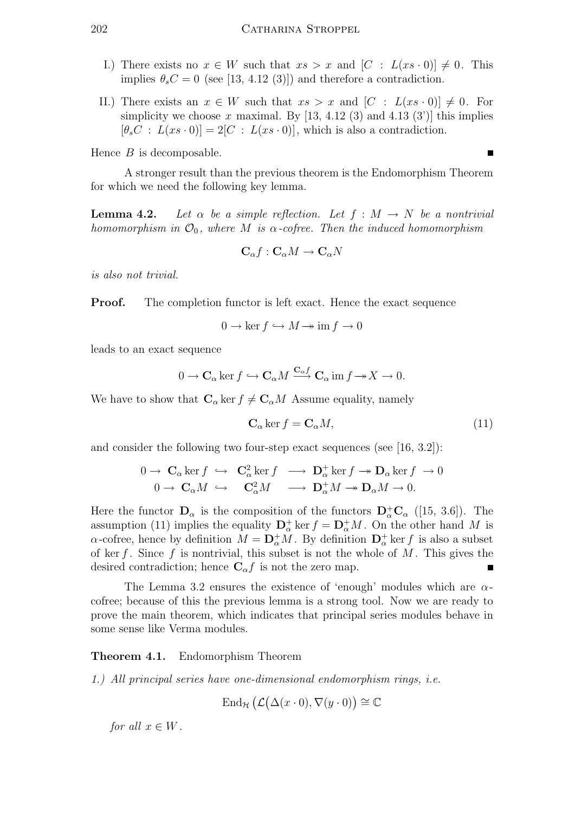- I.) There exists no  $x \in W$  such that  $xs > x$  and  $[C : L(xs \cdot 0)] \neq 0$ . This implies  $\theta_s C = 0$  (see [13, 4.12 (3)]) and therefore a contradiction.
- II.) There exists an  $x \in W$  such that  $xs > x$  and  $[C : L(xs \cdot 0)] \neq 0$ . For simplicity we choose x maximal. By  $[13, 4.12 (3)$  and  $4.13 (3')$  this implies  $[\theta_s C : L(xs \cdot 0)] = 2[C : L(xs \cdot 0)]$ , which is also a contradiction.

Hence  $B$  is decomposable.

A stronger result than the previous theorem is the Endomorphism Theorem for which we need the following key lemma.

**Lemma 4.2.** Let  $\alpha$  be a simple reflection. Let  $f : M \to N$  be a nontrivial homomorphism in  $\mathcal{O}_0$ , where M is  $\alpha$ -cofree. Then the induced homomorphism

$$
\mathbf{C}_{\alpha}f:\mathbf{C}_{\alpha}M\to\mathbf{C}_{\alpha}N
$$

is also not trivial.

**Proof.** The completion functor is left exact. Hence the exact sequence

$$
0 \to \ker f \hookrightarrow M \to \operatorname{im} f \to 0
$$

leads to an exact sequence

$$
0 \to \mathbf{C}_{\alpha} \ker f \hookrightarrow \mathbf{C}_{\alpha} M \xrightarrow{\mathbf{C}_{\alpha} f} \mathbf{C}_{\alpha} \operatorname{im} f \to X \to 0.
$$

We have to show that  $C_{\alpha}$  ker  $f \neq C_{\alpha}M$  Assume equality, namely

$$
\mathbf{C}_{\alpha}\ker f = \mathbf{C}_{\alpha}M,\tag{11}
$$

and consider the following two four-step exact sequences (see [16, 3.2]):

$$
0 \to \mathbf{C}_{\alpha} \ker f \hookrightarrow \mathbf{C}_{\alpha}^2 \ker f \longrightarrow \mathbf{D}_{\alpha}^+ \ker f \to \mathbf{D}_{\alpha} \ker f \to 0
$$
  

$$
0 \to \mathbf{C}_{\alpha} M \hookrightarrow \mathbf{C}_{\alpha}^2 M \longrightarrow \mathbf{D}_{\alpha}^+ M \to \mathbf{D}_{\alpha} M \to 0.
$$

Here the functor  $\mathbf{D}_{\alpha}$  is the composition of the functors  $\mathbf{D}_{\alpha}^{+}\mathbf{C}_{\alpha}$  ([15, 3.6]). The assumption (11) implies the equality  $\mathbf{D}_{\alpha}^{+}$  ker  $f = \mathbf{D}_{\alpha}^{+}M$ . On the other hand M is  $\alpha$ -cofree, hence by definition  $M = \mathbf{D}_{\alpha}^{+} M$ . By definition  $\mathbf{D}_{\alpha}^{+}$  ker f is also a subset of ker f. Since f is nontrivial, this subset is not the whole of  $M$ . This gives the desired contradiction; hence  $C_{\alpha}f$  is not the zero map.

The Lemma 3.2 ensures the existence of 'enough' modules which are  $\alpha$ cofree; because of this the previous lemma is a strong tool. Now we are ready to prove the main theorem, which indicates that principal series modules behave in some sense like Verma modules.

## Theorem 4.1. Endomorphism Theorem

1.) All principal series have one-dimensional endomorphism rings, i.e.

$$
\operatorname{End}_{\mathcal{H}}\big(\mathcal{L}(\Delta(x\cdot 0), \nabla(y\cdot 0)\big)\cong \mathbb{C}
$$

for all  $x \in W$ .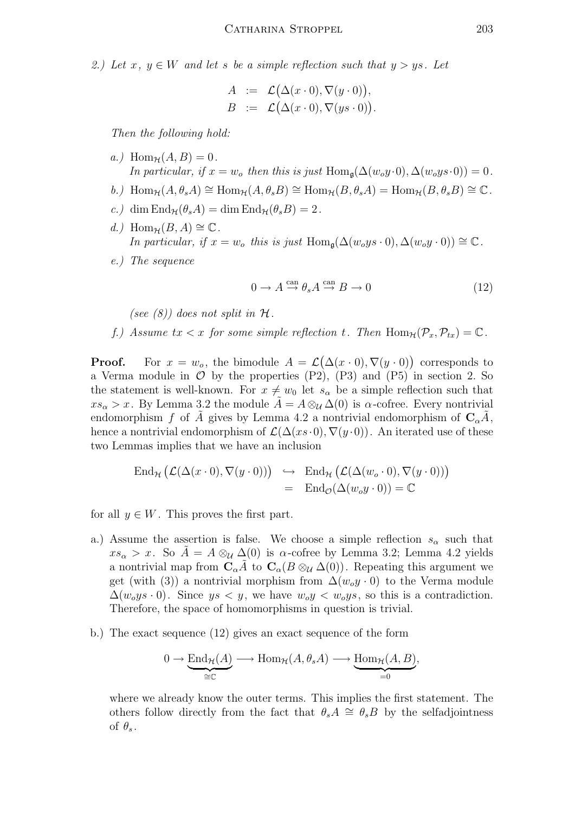2.) Let  $x, y \in W$  and let s be a simple reflection such that  $y > ys$ . Let

$$
A := \mathcal{L}(\Delta(x \cdot 0), \nabla(y \cdot 0)),
$$
  
\n
$$
B := \mathcal{L}(\Delta(x \cdot 0), \nabla(y s \cdot 0)).
$$

Then the following hold:

- a.) Hom<sub> $\mathcal{H}(A, B) = 0$ .</sub> In particular, if  $x = w_o$  then this is just Hom<sub>q</sub>( $\Delta(w_o y \cdot 0), \Delta(w_o y s \cdot 0) = 0$ .
- b.) Hom<sub>H</sub>( $A, \theta_s A$ ) ≅ Hom<sub>H</sub>( $A, \theta_s B$ ) ≅ Hom<sub>H</sub>( $B, \theta_s A$ ) = Hom<sub>H</sub>( $B, \theta_s B$ ) ≅  $\mathbb{C}$ .
- c.) dim  $\text{End}_{\mathcal{H}}(\theta_s A) = \dim \text{End}_{\mathcal{H}}(\theta_s B) = 2$ .
- d.) Hom<sub> $H$ </sub> $(B, A) \cong \mathbb{C}$ . In particular, if  $x = w_0$  this is just Hom<sub>g</sub>( $\Delta(w_0y s \cdot 0), \Delta(w_0y \cdot 0)) \cong \mathbb{C}$ .
- e.) The sequence

$$
0 \to A \stackrel{\text{can}}{\to} \theta_s A \stackrel{\text{can}}{\to} B \to 0 \tag{12}
$$

(see  $(8)$ ) does not split in  $\mathcal H$ .

f.) Assume  $tx < x$  for some simple reflection t. Then  $\text{Hom}_{\mathcal{H}}(\mathcal{P}_x, \mathcal{P}_{tx}) = \mathbb{C}$ .

**Proof.** For  $x = w_o$ , the bimodule  $A = \mathcal{L}(\Delta(x \cdot 0), \nabla(y \cdot 0))$  corresponds to a Verma module in  $\mathcal O$  by the properties (P2), (P3) and (P5) in section 2. So the statement is well-known. For  $x \neq w_0$  let  $s_\alpha$  be a simple reflection such that  $xs_\alpha > x$ . By Lemma 3.2 the module  $A = A \otimes_{\mathcal{U}} \Delta(0)$  is  $\alpha$ -cofree. Every nontrivial endomorphism f of A gives by Lemma 4.2 a nontrivial endomorphism of  $C_{\alpha}A$ , hence a nontrivial endomorphism of  $\mathcal{L}(\Delta(xs\cdot 0), \nabla(y\cdot 0))$ . An iterated use of these two Lemmas implies that we have an inclusion

$$
\operatorname{End}_{\mathcal{H}}(\mathcal{L}(\Delta(x \cdot 0), \nabla(y \cdot 0))) \leftrightarrow \operatorname{End}_{\mathcal{H}}(\mathcal{L}(\Delta(w_o \cdot 0), \nabla(y \cdot 0)))
$$
  
=  $\operatorname{End}_{\mathcal{O}}(\Delta(w_o y \cdot 0)) = \mathbb{C}$ 

for all  $y \in W$ . This proves the first part.

- a.) Assume the assertion is false. We choose a simple reflection  $s_{\alpha}$  such that  $x s_{\alpha} > x$ . So  $A = A \otimes_{\mathcal{U}} \Delta(0)$  is  $\alpha$ -cofree by Lemma 3.2; Lemma 4.2 yields a nontrivial map from  $C_{\alpha}A$  to  $C_{\alpha}(B \otimes_{\mathcal{U}} \Delta(0))$ . Repeating this argument we get (with (3)) a nontrivial morphism from  $\Delta(w_0y \cdot 0)$  to the Verma module  $\Delta(w_0y s\cdot 0)$ . Since  $ys < y$ , we have  $w_0y < w_0ys$ , so this is a contradiction. Therefore, the space of homomorphisms in question is trivial.
- b.) The exact sequence (12) gives an exact sequence of the form

$$
0 \to \underbrace{\text{End}_{\mathcal{H}}(A)}_{\cong \mathbb{C}} \longrightarrow \text{Hom}_{\mathcal{H}}(A, \theta_s A) \longrightarrow \underbrace{\text{Hom}_{\mathcal{H}}(A, B)}_{=0},
$$

where we already know the outer terms. This implies the first statement. The others follow directly from the fact that  $\theta_s A \cong \theta_s B$  by the selfadjointness of  $\theta_s$ .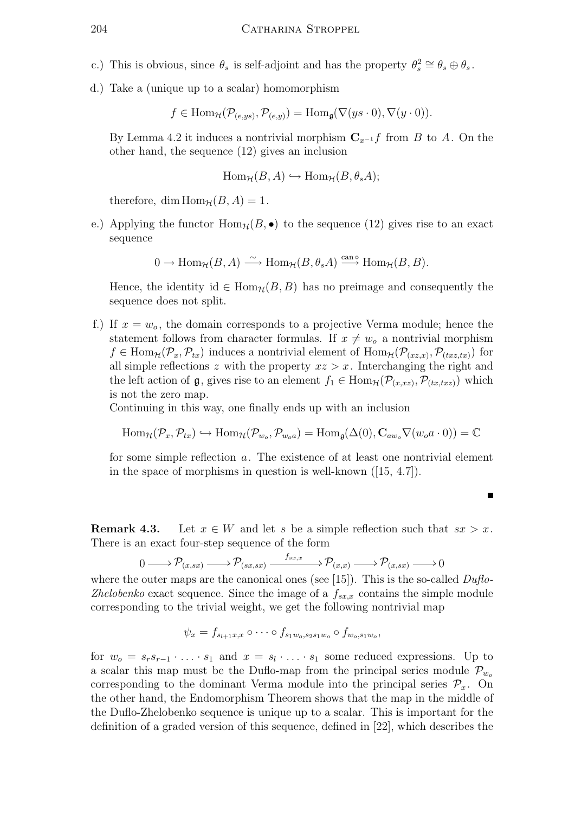- c.) This is obvious, since  $\theta_s$  is self-adjoint and has the property  $\theta_s^2 \cong \theta_s \oplus \theta_s$ .
- d.) Take a (unique up to a scalar) homomorphism

$$
f \in \text{Hom}_{\mathcal{H}}(\mathcal{P}_{(e,ys)}, \mathcal{P}_{(e,y)}) = \text{Hom}_{\mathfrak{g}}(\nabla(ys \cdot 0), \nabla(y \cdot 0)).
$$

By Lemma 4.2 it induces a nontrivial morphism  $C_{x^{-1}}f$  from B to A. On the other hand, the sequence (12) gives an inclusion

$$
\text{Hom}_{\mathcal{H}}(B, A) \hookrightarrow \text{Hom}_{\mathcal{H}}(B, \theta_s A);
$$

therefore, dim  $\text{Hom}_{\mathcal{H}}(B, A) = 1$ .

e.) Applying the functor  $\text{Hom}_{\mathcal{H}}(B, \bullet)$  to the sequence (12) gives rise to an exact sequence

$$
0 \to \text{Hom}_{\mathcal{H}}(B, A) \xrightarrow{\sim} \text{Hom}_{\mathcal{H}}(B, \theta_s A) \xrightarrow{\text{can}\circ} \text{Hom}_{\mathcal{H}}(B, B).
$$

Hence, the identity id  $\in$  Hom<sub>H</sub>( $B, B$ ) has no preimage and consequently the sequence does not split.

f.) If  $x = w<sub>o</sub>$ , the domain corresponds to a projective Verma module; hence the statement follows from character formulas. If  $x \neq w<sub>o</sub>$  a nontrivial morphism  $f \in \text{Hom}_{\mathcal{H}}(\mathcal{P}_x, \mathcal{P}_{tx})$  induces a nontrivial element of  $\text{Hom}_{\mathcal{H}}(\mathcal{P}_{(xz,x)}, \mathcal{P}_{(txz,tx)})$  for all simple reflections z with the property  $xz > x$ . Interchanging the right and the left action of  $\mathfrak{g}$ , gives rise to an element  $f_1 \in \text{Hom}_{\mathcal{H}}(\mathcal{P}_{(x,xz)}, \mathcal{P}_{(tx,txz)})$  which is not the zero map.

Continuing in this way, one finally ends up with an inclusion

$$
\text{Hom}_{\mathcal{H}}(\mathcal{P}_x, \mathcal{P}_{tx}) \hookrightarrow \text{Hom}_{\mathcal{H}}(\mathcal{P}_{w_o}, \mathcal{P}_{w_o a}) = \text{Hom}_{\mathfrak{g}}(\Delta(0), \mathbf{C}_{aw_o} \nabla(w_o a \cdot 0)) = \mathbb{C}
$$

for some simple reflection a. The existence of at least one nontrivial element in the space of morphisms in question is well-known ([15, 4.7]).

**Remark 4.3.** Let  $x \in W$  and let s be a simple reflection such that  $sx > x$ . There is an exact four-step sequence of the form

$$
0 \longrightarrow \mathcal{P}_{(x,sx)} \longrightarrow \mathcal{P}_{(sx,sx)} \xrightarrow{f_{sx,x}} \mathcal{P}_{(x,x)} \longrightarrow \mathcal{P}_{(x,sx)} \longrightarrow 0
$$

where the outer maps are the canonical ones (see [15]). This is the so-called  $Duflo$ -Zhelobenko exact sequence. Since the image of a  $f_{sx,x}$  contains the simple module corresponding to the trivial weight, we get the following nontrivial map

$$
\psi_x = f_{s_{l+1}x,x} \circ \cdots \circ f_{s_1w_o,s_2s_1w_o} \circ f_{w_o,s_1w_o},
$$

for  $w_o = s_r s_{r-1} \cdot \ldots \cdot s_1$  and  $x = s_l \cdot \ldots \cdot s_1$  some reduced expressions. Up to a scalar this map must be the Duflo-map from the principal series module  $\mathcal{P}_{w_o}$ corresponding to the dominant Verma module into the principal series  $\mathcal{P}_x$ . On the other hand, the Endomorphism Theorem shows that the map in the middle of the Duflo-Zhelobenko sequence is unique up to a scalar. This is important for the definition of a graded version of this sequence, defined in [22], which describes the

$$
\blacksquare
$$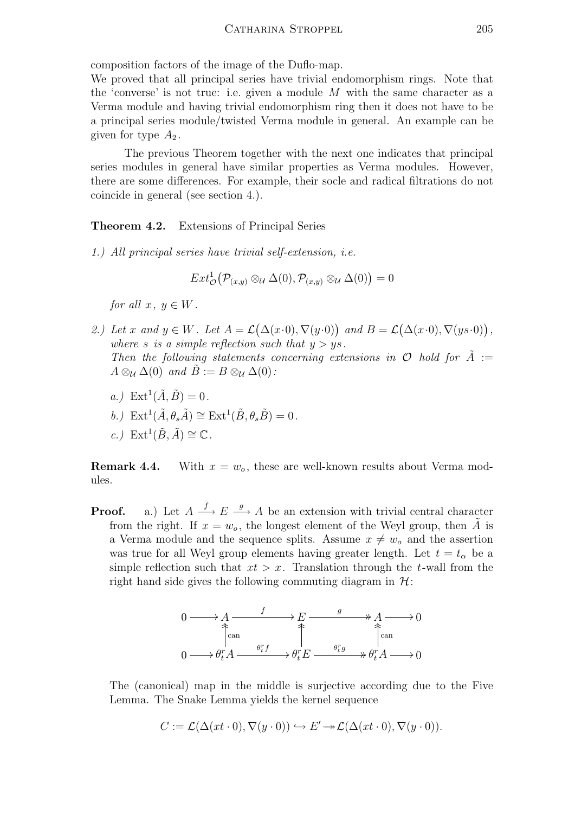composition factors of the image of the Duflo-map.

We proved that all principal series have trivial endomorphism rings. Note that the 'converse' is not true: i.e. given a module  $M$  with the same character as a Verma module and having trivial endomorphism ring then it does not have to be a principal series module/twisted Verma module in general. An example can be given for type  $A_2$ .

The previous Theorem together with the next one indicates that principal series modules in general have similar properties as Verma modules. However, there are some differences. For example, their socle and radical filtrations do not coincide in general (see section 4.).

Theorem 4.2. Extensions of Principal Series

1.) All principal series have trivial self-extension, i.e.

$$
Ext^1_{\mathcal{O}}(\mathcal{P}_{(x,y)}\otimes_{\mathcal{U}}\Delta(0), \mathcal{P}_{(x,y)}\otimes_{\mathcal{U}}\Delta(0))=0
$$

for all  $x, y \in W$ .

- 2.) Let x and  $y \in W$ . Let  $A = \mathcal{L}(\Delta(x \cdot 0), \nabla(y \cdot 0))$  and  $B = \mathcal{L}(\Delta(x \cdot 0), \nabla(y \cdot 0))$ , where s is a simple reflection such that  $y > y$ s. Then the following statements concerning extensions in  $\mathcal O$  hold for  $\tilde A$  :=  $A \otimes_{\mathcal{U}} \Delta(0)$  and  $B := B \otimes_{\mathcal{U}} \Delta(0)$ :
	- $a.$ )  $\text{Ext}^1(\tilde{A}, \tilde{B}) = 0.$
	- b.)  $\mathrm{Ext}^1(\tilde{A}, \theta_s \tilde{A}) \cong \mathrm{Ext}^1(\tilde{B}, \theta_s \tilde{B}) = 0$ .
	- c.)  $\mathrm{Ext}^1(\tilde{B}, \tilde{A}) \cong \mathbb{C}$ .

**Remark 4.4.** With  $x = w<sub>o</sub>$ , these are well-known results about Verma modules.

**Proof.** a.) Let  $A \xrightarrow{f} E \xrightarrow{g} A$  be an extension with trivial central character from the right. If  $x = w_0$ , the longest element of the Weyl group, then A is a Verma module and the sequence splits. Assume  $x \neq w<sub>o</sub>$  and the assertion was true for all Weyl group elements having greater length. Let  $t = t_{\alpha}$  be a simple reflection such that  $xt > x$ . Translation through the t-wall from the right hand side gives the following commuting diagram in  $\mathcal{H}$ :



The (canonical) map in the middle is surjective according due to the Five Lemma. The Snake Lemma yields the kernel sequence

$$
C := \mathcal{L}(\Delta(xt \cdot 0), \nabla(y \cdot 0)) \hookrightarrow E' \to \mathcal{L}(\Delta(xt \cdot 0), \nabla(y \cdot 0)).
$$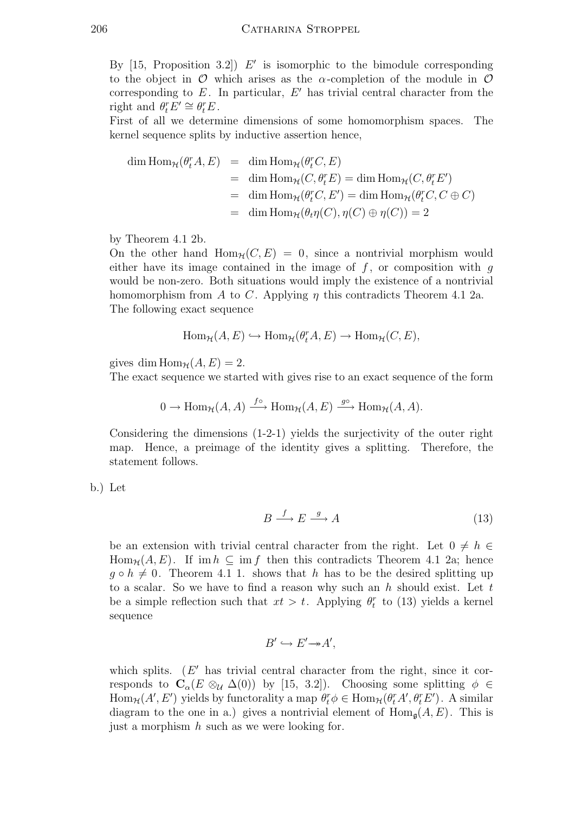By  $[15,$  Proposition 3.2)  $E'$  is isomorphic to the bimodule corresponding to the object in  $\mathcal O$  which arises as the  $\alpha$ -completion of the module in  $\mathcal O$ corresponding to  $E$ . In particular,  $E'$  has trivial central character from the right and  $\theta_t^r E' \cong \theta_t^r E$ .

First of all we determine dimensions of some homomorphism spaces. The kernel sequence splits by inductive assertion hence,

$$
\begin{array}{rcl}\n\dim \text{Hom}_{\mathcal{H}}(\theta_t^r A, E) & = & \dim \text{Hom}_{\mathcal{H}}(\theta_t^r C, E) \\
& = & \dim \text{Hom}_{\mathcal{H}}(C, \theta_t^r E) = \dim \text{Hom}_{\mathcal{H}}(C, \theta_t^r E') \\
& = & \dim \text{Hom}_{\mathcal{H}}(\theta_t^r C, E') = \dim \text{Hom}_{\mathcal{H}}(\theta_t^r C, C \oplus C) \\
& = & \dim \text{Hom}_{\mathcal{H}}(\theta_t \eta(C), \eta(C) \oplus \eta(C)) = 2\n\end{array}
$$

by Theorem 4.1 2b.

On the other hand  $\text{Hom}_{\mathcal{H}}(C, E) = 0$ , since a nontrivial morphism would either have its image contained in the image of  $f$ , or composition with  $g$ would be non-zero. Both situations would imply the existence of a nontrivial homomorphism from A to C. Applying  $\eta$  this contradicts Theorem 4.1 2a. The following exact sequence

$$
\text{Hom}_{\mathcal{H}}(A, E) \hookrightarrow \text{Hom}_{\mathcal{H}}(\theta_t^r A, E) \to \text{Hom}_{\mathcal{H}}(C, E),
$$

gives dim  $\text{Hom}_{\mathcal{H}}(A, E) = 2$ .

The exact sequence we started with gives rise to an exact sequence of the form

$$
0 \to \text{Hom}_{\mathcal{H}}(A, A) \xrightarrow{f^{\circ}} \text{Hom}_{\mathcal{H}}(A, E) \xrightarrow{g^{\circ}} \text{Hom}_{\mathcal{H}}(A, A).
$$

Considering the dimensions (1-2-1) yields the surjectivity of the outer right map. Hence, a preimage of the identity gives a splitting. Therefore, the statement follows.

b.) Let

$$
B \xrightarrow{f} E \xrightarrow{g} A \tag{13}
$$

be an extension with trivial central character from the right. Let  $0 \neq h \in$  $\text{Hom}_{\mathcal{H}}(A, E)$ . If im  $h \subseteq \text{im } f$  then this contradicts Theorem 4.1 2a; hence  $q \circ h \neq 0$ . Theorem 4.1 1. shows that h has to be the desired splitting up to a scalar. So we have to find a reason why such an h should exist. Let t be a simple reflection such that  $xt > t$ . Applying  $\theta_t^r$  to (13) yields a kernel sequence

$$
B' \hookrightarrow E' \rightarrow A',
$$

which splits.  $(E'$  has trivial central character from the right, since it corresponds to  $C_{\alpha}(E \otimes_{\mathcal{U}} \Delta(0))$  by [15, 3.2]). Choosing some splitting  $\phi \in$  $\text{Hom}_{\mathcal{H}}(A', E')$  yields by functorality a map  $\theta_t^r \phi \in \text{Hom}_{\mathcal{H}}(\theta_t^r A', \theta_t^r E')$ . A similar diagram to the one in a.) gives a nontrivial element of  $Hom_{\mathfrak{a}}(A, E)$ . This is just a morphism  $h$  such as we were looking for.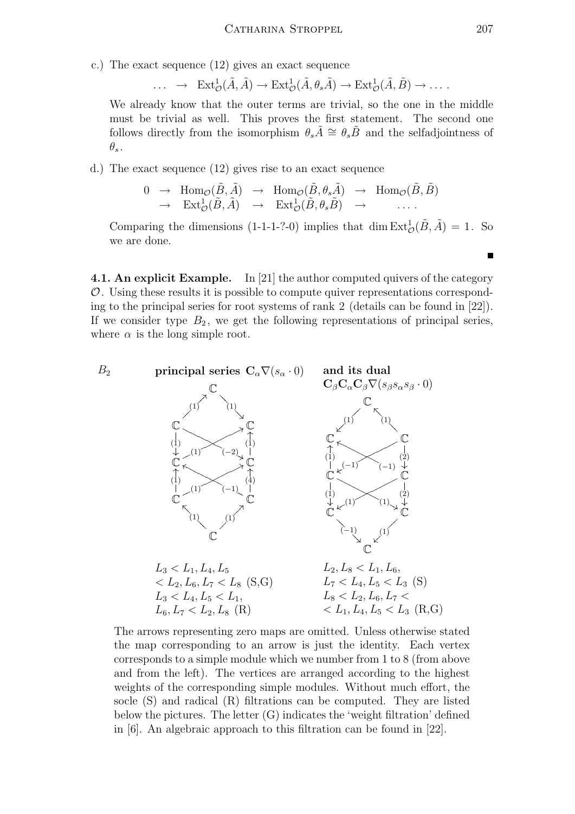c.) The exact sequence (12) gives an exact sequence

 $\ldots \rightarrow \text{Ext}^1_{\mathcal{O}}(\tilde{A}, \tilde{A}) \rightarrow \text{Ext}^1_{\mathcal{O}}(\tilde{A}, \theta_s \tilde{A}) \rightarrow \text{Ext}^1_{\mathcal{O}}(\tilde{A}, \tilde{B}) \rightarrow \ldots.$ 

We already know that the outer terms are trivial, so the one in the middle must be trivial as well. This proves the first statement. The second one follows directly from the isomorphism  $\theta_s \tilde{A} \cong \theta_s \tilde{B}$  and the selfadjointness of  $\theta_s$  .

d.) The exact sequence (12) gives rise to an exact sequence

$$
0 \rightarrow \text{Hom}_{\mathcal{O}}(\tilde{B}, \tilde{A}) \rightarrow \text{Hom}_{\mathcal{O}}(\tilde{B}, \theta_s \tilde{A}) \rightarrow \text{Hom}_{\mathcal{O}}(\tilde{B}, \tilde{B})
$$
  

$$
\rightarrow \text{Ext}^1_{\mathcal{O}}(\tilde{B}, \tilde{A}) \rightarrow \text{Ext}^1_{\mathcal{O}}(\tilde{B}, \theta_s \tilde{B}) \rightarrow \dots
$$

Comparing the dimensions (1-1-1-?-0) implies that dim  $\text{Ext}^1_{\mathcal{O}}(\tilde{B}, \tilde{A}) = 1$ . So we are done.

4.1. An explicit Example. In [21] the author computed quivers of the category  $\mathcal O$ . Using these results it is possible to compute quiver representations corresponding to the principal series for root systems of rank 2 (details can be found in [22]). If we consider type  $B_2$ , we get the following representations of principal series, where  $\alpha$  is the long simple root.



The arrows representing zero maps are omitted. Unless otherwise stated the map corresponding to an arrow is just the identity. Each vertex corresponds to a simple module which we number from 1 to 8 (from above and from the left). The vertices are arranged according to the highest weights of the corresponding simple modules. Without much effort, the socle (S) and radical (R) filtrations can be computed. They are listed below the pictures. The letter (G) indicates the 'weight filtration' defined in [6]. An algebraic approach to this filtration can be found in [22].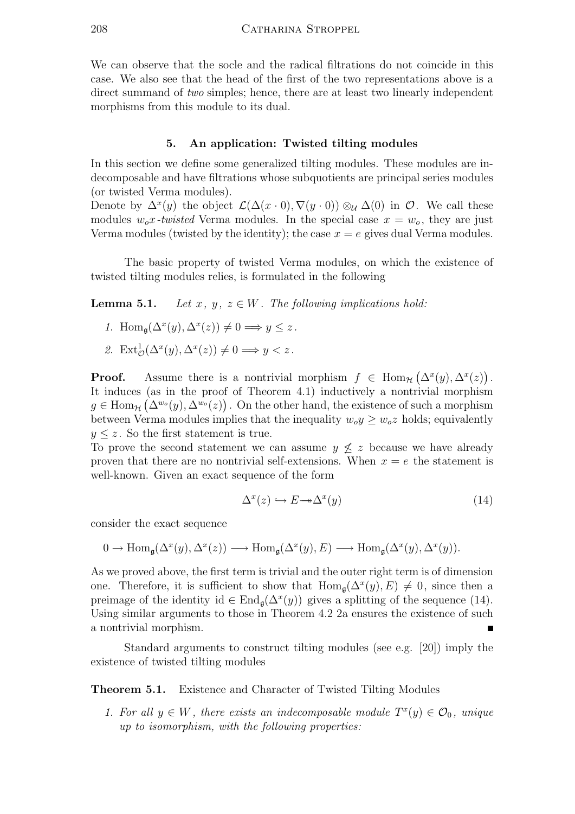We can observe that the socle and the radical filtrations do not coincide in this case. We also see that the head of the first of the two representations above is a direct summand of *two* simples; hence, there are at least two linearly independent morphisms from this module to its dual.

## 5. An application: Twisted tilting modules

In this section we define some generalized tilting modules. These modules are indecomposable and have filtrations whose subquotients are principal series modules (or twisted Verma modules).

Denote by  $\Delta^x(y)$  the object  $\mathcal{L}(\Delta(x\cdot 0), \nabla(y\cdot 0)) \otimes_{\mathcal{U}} \Delta(0)$  in  $\mathcal{O}$ . We call these modules  $w_0x$ -twisted Verma modules. In the special case  $x = w_0$ , they are just Verma modules (twisted by the identity); the case  $x = e$  gives dual Verma modules.

The basic property of twisted Verma modules, on which the existence of twisted tilting modules relies, is formulated in the following

**Lemma 5.1.** Let x, y,  $z \in W$ . The following implications hold:

- 1. Hom<sub>g</sub>( $\Delta^x(y), \Delta^x(z)$ )  $\neq 0 \Longrightarrow y \leq z$ .
- 2.  $\text{Ext}^1_{\mathcal{O}}(\Delta^x(y), \Delta^x(z)) \neq 0 \Longrightarrow y < z$ .

**Proof.** Assume there is a nontrivial morphism  $f \in \text{Hom}_{\mathcal{H}}(\Delta^x(y), \Delta^x(z)).$ It induces (as in the proof of Theorem 4.1) inductively a nontrivial morphism  $g \in \text{Hom}_{\mathcal{H}}(\Delta^{w_o}(y), \Delta^{w_o}(z))$ . On the other hand, the existence of such a morphism between Verma modules implies that the inequality  $w_0 y \geq w_0 z$  holds; equivalently  $y \leq z$ . So the first statement is true.

To prove the second statement we can assume  $y \not\leq z$  because we have already proven that there are no nontrivial self-extensions. When  $x = e$  the statement is well-known. Given an exact sequence of the form

$$
\Delta^x(z) \hookrightarrow E \to \Delta^x(y) \tag{14}
$$

consider the exact sequence

$$
0 \to \operatorname{Hom}_{\mathfrak{g}}(\Delta^x(y), \Delta^x(z)) \longrightarrow \operatorname{Hom}_{\mathfrak{g}}(\Delta^x(y), E) \longrightarrow \operatorname{Hom}_{\mathfrak{g}}(\Delta^x(y), \Delta^x(y)).
$$

As we proved above, the first term is trivial and the outer right term is of dimension one. Therefore, it is sufficient to show that  $\text{Hom}_{\mathfrak{g}}(\Delta^x(y), E) \neq 0$ , since then a preimage of the identity id  $\in$  End<sub>g</sub>( $\Delta^x(y)$ ) gives a splitting of the sequence (14). Using similar arguments to those in Theorem 4.2 2a ensures the existence of such a nontrivial morphism.  $\blacksquare$ 

Standard arguments to construct tilting modules (see e.g. [20]) imply the existence of twisted tilting modules

Theorem 5.1. Existence and Character of Twisted Tilting Modules

1. For all  $y \in W$ , there exists an indecomposable module  $T^x(y) \in \mathcal{O}_0$ , unique up to isomorphism, with the following properties: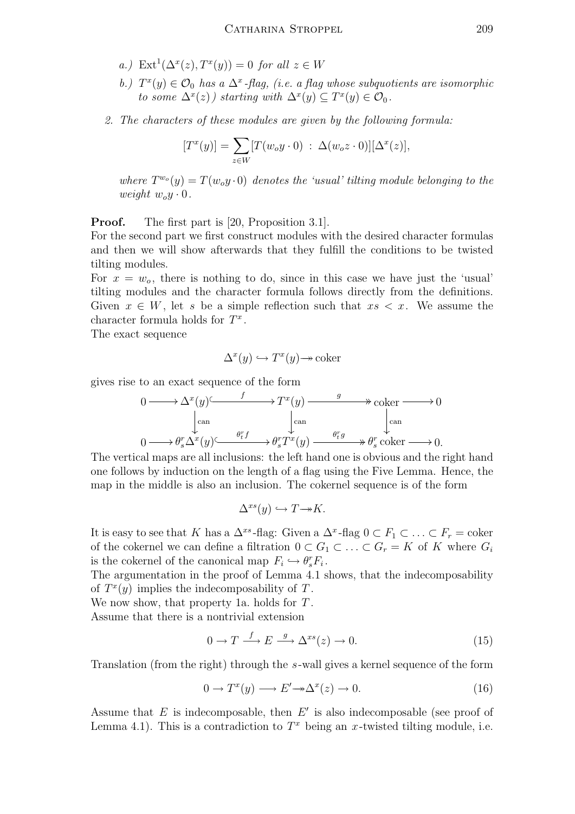- a.)  $\text{Ext}^1(\Delta^x(z), T^x(y)) = 0$  for all  $z \in W$
- b.)  $T^x(y) \in \mathcal{O}_0$  has a  $\Delta^x$ -flag, (i.e. a flag whose subquotients are isomorphic to some  $\Delta^x(z)$ ) starting with  $\Delta^x(y) \subseteq T^x(y) \in \mathcal{O}_0$ .
- 2. The characters of these modules are given by the following formula:

$$
[T^x(y)] = \sum_{z \in W} [T(w_o y \cdot 0) : \Delta(w_o z \cdot 0)][\Delta^x(z)],
$$

where  $T^{w_0}(y) = T(w_0y \cdot 0)$  denotes the 'usual' tilting module belonging to the weight  $w_0y \cdot 0$ .

**Proof.** The first part is [20, Proposition 3.1].

For the second part we first construct modules with the desired character formulas and then we will show afterwards that they fulfill the conditions to be twisted tilting modules.

For  $x = w<sub>o</sub>$ , there is nothing to do, since in this case we have just the 'usual' tilting modules and the character formula follows directly from the definitions. Given  $x \in W$ , let s be a simple reflection such that  $xs < x$ . We assume the character formula holds for  $T^x$ .

The exact sequence

$$
\Delta^x(y) \hookrightarrow T^x(y) \to \text{coker}
$$

gives rise to an exact sequence of the form

$$
0 \longrightarrow \Delta^x(y) \xrightarrow{f} T^x(y) \longrightarrow^g \text{coker} \longrightarrow 0
$$
  
\n
$$
\downarrow^{\text{can}} \qquad \qquad \downarrow^{\text{can}} \qquad \qquad \downarrow^{\text{can}} \qquad \qquad 0 \longrightarrow \theta_s^r \Delta^x(y) \xrightarrow{\theta_t^r f} \theta_s^r T^x(y) \xrightarrow{\theta_t^r g} \theta_s^r \text{coker} \longrightarrow 0.
$$

The vertical maps are all inclusions: the left hand one is obvious and the right hand one follows by induction on the length of a flag using the Five Lemma. Hence, the map in the middle is also an inclusion. The cokernel sequence is of the form

$$
\Delta^{xs}(y) \hookrightarrow T \rightarrow K.
$$

It is easy to see that K has a  $\Delta^{xs}$ -flag: Given a  $\Delta^{x}$ -flag  $0 \subset F_1 \subset \ldots \subset F_r = \text{coker}$ of the cokernel we can define a filtration  $0 \subset G_1 \subset \ldots \subset G_r = K$  of K where  $G_i$ is the cokernel of the canonical map  $F_i \hookrightarrow \theta_s^r F_i$ .

The argumentation in the proof of Lemma 4.1 shows, that the indecomposability of  $T^x(y)$  implies the indecomposability of T.

We now show, that property 1a. holds for T.

Assume that there is a nontrivial extension

$$
0 \to T \xrightarrow{f} E \xrightarrow{g} \Delta^{xs}(z) \to 0. \tag{15}
$$

Translation (from the right) through the s-wall gives a kernel sequence of the form

$$
0 \to T^x(y) \longrightarrow E' \to \Delta^x(z) \to 0. \tag{16}
$$

Assume that  $E$  is indecomposable, then  $E'$  is also indecomposable (see proof of Lemma 4.1). This is a contradiction to  $T^x$  being an x-twisted tilting module, i.e.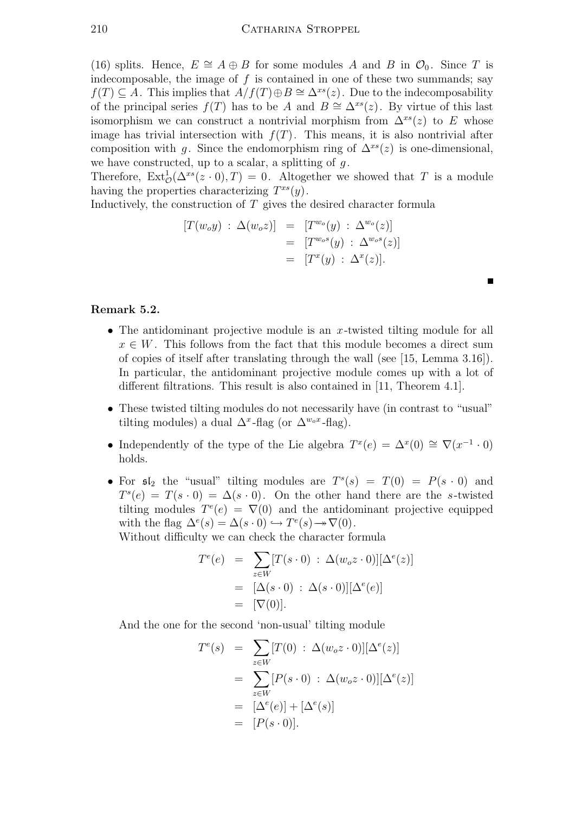(16) splits. Hence,  $E \cong A \oplus B$  for some modules A and B in  $\mathcal{O}_0$ . Since T is indecomposable, the image of  $f$  is contained in one of these two summands; say  $f(T) \subseteq A$ . This implies that  $A/f(T) \oplus B \cong \Delta^{xs}(z)$ . Due to the indecomposability of the principal series  $f(T)$  has to be A and  $B \cong \Delta^{xs}(z)$ . By virtue of this last isomorphism we can construct a nontrivial morphism from  $\Delta^{xs}(z)$  to E whose image has trivial intersection with  $f(T)$ . This means, it is also nontrivial after composition with g. Since the endomorphism ring of  $\Delta^{xs}(z)$  is one-dimensional, we have constructed, up to a scalar, a splitting of  $g$ .

Therefore,  $\text{Ext}^1_{\mathcal{O}}(\Delta^{xs}(z\cdot 0), T) = 0$ . Altogether we showed that T is a module having the properties characterizing  $T^{xs}(y)$ .

Inductively, the construction of  $T$  gives the desired character formula

$$
[T(w_0y) : \Delta(w_0z)] = [T^{w_0}(y) : \Delta^{w_0}(z)]
$$
  

$$
= [T^{w_0s}(y) : \Delta^{w_0s}(z)]
$$
  

$$
= [T^x(y) : \Delta^x(z)].
$$

## Remark 5.2.

• The antidominant projective module is an  $x$ -twisted tilting module for all  $x \in W$ . This follows from the fact that this module becomes a direct sum of copies of itself after translating through the wall (see [15, Lemma 3.16]). In particular, the antidominant projective module comes up with a lot of different filtrations. This result is also contained in [11, Theorem 4.1].

 $\blacksquare$ 

- These twisted tilting modules do not necessarily have (in contrast to "usual" tilting modules) a dual  $\Delta^x$ -flag (or  $\Delta^{w_o x}$ -flag).
- Independently of the type of the Lie algebra  $T^x(e) = \Delta^x(0) \cong \nabla(x^{-1} \cdot 0)$ holds.
- For  $\mathfrak{sl}_2$  the "usual" tilting modules are  $T^s(s) = T(0) = P(s \cdot 0)$  and  $T^{s}(e) = T(s \cdot 0) = \Delta(s \cdot 0)$ . On the other hand there are the s-twisted tilting modules  $T^e(e) = \nabla(0)$  and the antidominant projective equipped with the flag  $\Delta^e(s) = \Delta(s \cdot 0) \hookrightarrow T^e(s) \rightarrow \nabla(0)$ . Without difficulty we can check the character formula

 $T^e$ 

$$
T^{e}(e) = \sum_{z \in W} [T(s \cdot 0) : \Delta(w_{o}z \cdot 0)][\Delta^{e}(z)]
$$
  
= 
$$
[\Delta(s \cdot 0) : \Delta(s \cdot 0)][\Delta^{e}(e)]
$$
  
= 
$$
[\nabla(0)].
$$

And the one for the second 'non-usual' tilting module

$$
T^{e}(s) = \sum_{z \in W} [T(0) : \Delta(w_{o}z \cdot 0)][\Delta^{e}(z)]
$$
  
= 
$$
\sum_{z \in W} [P(s \cdot 0) : \Delta(w_{o}z \cdot 0)][\Delta^{e}(z)]
$$
  
= 
$$
[\Delta^{e}(e)] + [\Delta^{e}(s)]
$$
  
= 
$$
[P(s \cdot 0)].
$$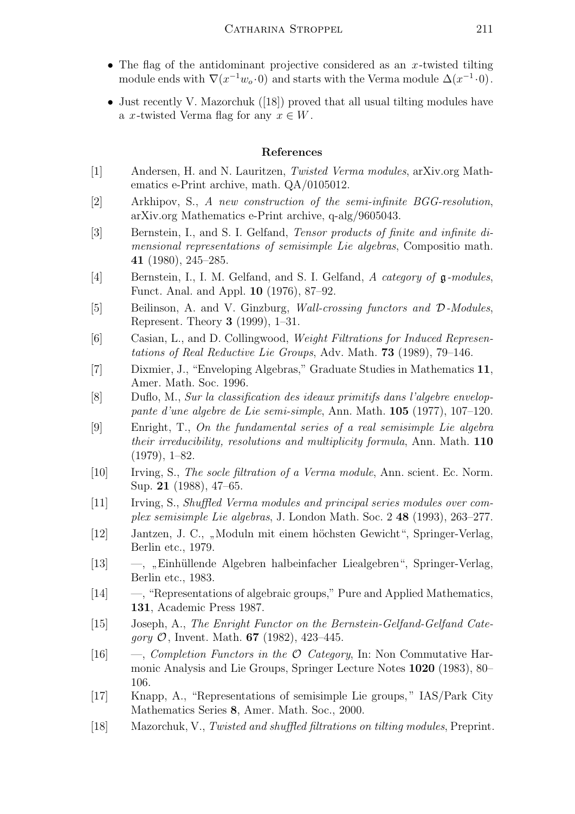- The flag of the antidominant projective considered as an  $x$ -twisted tilting module ends with  $\nabla(x^{-1}w_0 \cdot 0)$  and starts with the Verma module  $\Delta(x^{-1} \cdot 0)$ .
- Just recently V. Mazorchuk ([18]) proved that all usual tilting modules have a x-twisted Verma flag for any  $x \in W$ .

## References

- [1] Andersen, H. and N. Lauritzen, Twisted Verma modules, arXiv.org Mathematics e-Print archive, math. QA/0105012.
- [2] Arkhipov, S., A new construction of the semi-infinite BGG-resolution, arXiv.org Mathematics e-Print archive, q-alg/9605043.
- [3] Bernstein, I., and S. I. Gelfand, Tensor products of finite and infinite dimensional representations of semisimple Lie algebras, Compositio math. 41 (1980), 245–285.
- [4] Bernstein, I., I. M. Gelfand, and S. I. Gelfand, A category of  $\mathfrak{g}\text{-modules}$ , Funct. Anal. and Appl. 10 (1976), 87–92.
- [5] Beilinson, A. and V. Ginzburg, Wall-crossing functors and D-Modules, Represent. Theory 3 (1999), 1–31.
- [6] Casian, L., and D. Collingwood, Weight Filtrations for Induced Representations of Real Reductive Lie Groups, Adv. Math. 73 (1989), 79–146.
- [7] Dixmier, J., "Enveloping Algebras," Graduate Studies in Mathematics 11, Amer. Math. Soc. 1996.
- [8] Duflo, M., Sur la classification des ideaux primitifs dans l'algebre enveloppante d'une algebre de Lie semi-simple, Ann. Math. 105 (1977), 107–120.
- [9] Enright, T., On the fundamental series of a real semisimple Lie algebra their irreducibility, resolutions and multiplicity formula, Ann. Math. 110  $(1979), 1–82.$
- [10] Irving, S., The socle filtration of a Verma module, Ann. scient. Ec. Norm. Sup. 21 (1988), 47–65.
- [11] Irving, S., Shuffled Verma modules and principal series modules over complex semisimple Lie algebras, J. London Math. Soc. 2 48 (1993), 263–277.
- [12] Jantzen, J. C., "Moduln mit einem höchsten Gewicht", Springer-Verlag, Berlin etc., 1979.
- [13] —, ,,Einh¨ullende Algebren halbeinfacher Liealgebren", Springer-Verlag, Berlin etc., 1983.
- [14] —, "Representations of algebraic groups," Pure and Applied Mathematics, 131, Academic Press 1987.
- [15] Joseph, A., The Enright Functor on the Bernstein-Gelfand-Gelfand Cate*gory*  $O$ , Invent. Math. **67** (1982), 423-445.
- [16] —, Completion Functors in the  $\mathcal O$  Category, In: Non Commutative Harmonic Analysis and Lie Groups, Springer Lecture Notes 1020 (1983), 80– 106.
- [17] Knapp, A., "Representations of semisimple Lie groups, " IAS/Park City Mathematics Series 8, Amer. Math. Soc., 2000.
- [18] Mazorchuk, V., Twisted and shuffled filtrations on tilting modules, Preprint.